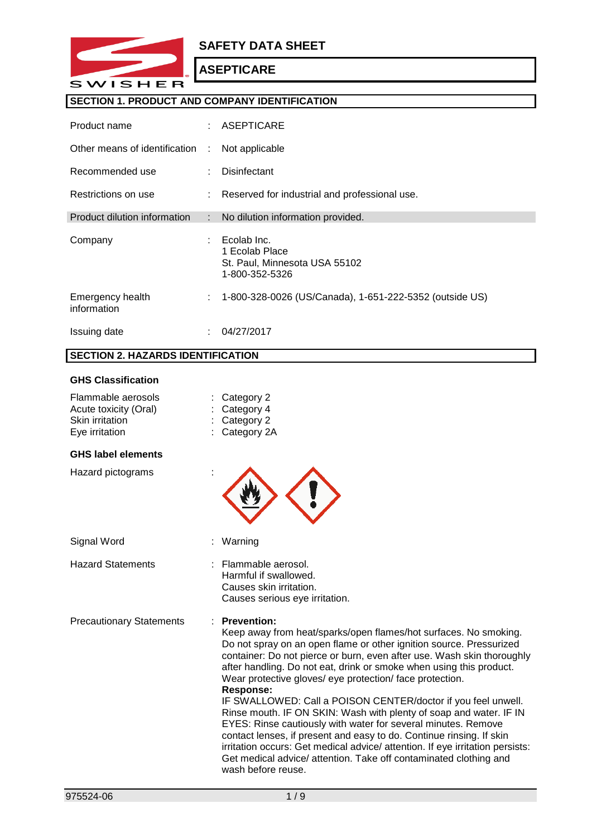

## **SAFETY DATA SHEET**

# **ASEPTICARE**

## **SECTION 1. PRODUCT AND COMPANY IDENTIFICATION**

| Product name                    |   | $:$ ASEPTICARE                                                                   |
|---------------------------------|---|----------------------------------------------------------------------------------|
| Other means of identification   | ÷ | Not applicable                                                                   |
| Recommended use                 |   | Disinfectant                                                                     |
| Restrictions on use             |   | : Reserved for industrial and professional use.                                  |
| Product dilution information    | ÷ | No dilution information provided.                                                |
| Company                         |   | Ecolab Inc.<br>1 Ecolab Place<br>St. Paul, Minnesota USA 55102<br>1-800-352-5326 |
| Emergency health<br>information | ÷ | 1-800-328-0026 (US/Canada), 1-651-222-5352 (outside US)                          |
| Issuing date                    |   | 04/27/2017                                                                       |

# **SECTION 2. HAZARDS IDENTIFICATION**

## **GHS Classification**

| Flammable aerosols<br>Acute toxicity (Oral)<br>Skin irritation<br>Eye irritation | Category 2<br>Category 4<br>Category 2<br>Category 2A                                                                                                                                                                                                                                                                                                                                                                                                                                                                                                                                                                                                                                                                                                                                                                                                      |  |
|----------------------------------------------------------------------------------|------------------------------------------------------------------------------------------------------------------------------------------------------------------------------------------------------------------------------------------------------------------------------------------------------------------------------------------------------------------------------------------------------------------------------------------------------------------------------------------------------------------------------------------------------------------------------------------------------------------------------------------------------------------------------------------------------------------------------------------------------------------------------------------------------------------------------------------------------------|--|
| <b>GHS label elements</b>                                                        |                                                                                                                                                                                                                                                                                                                                                                                                                                                                                                                                                                                                                                                                                                                                                                                                                                                            |  |
| Hazard pictograms                                                                |                                                                                                                                                                                                                                                                                                                                                                                                                                                                                                                                                                                                                                                                                                                                                                                                                                                            |  |
| Signal Word                                                                      | Warning                                                                                                                                                                                                                                                                                                                                                                                                                                                                                                                                                                                                                                                                                                                                                                                                                                                    |  |
| <b>Hazard Statements</b>                                                         | : Flammable aerosol.<br>Harmful if swallowed.<br>Causes skin irritation.<br>Causes serious eye irritation.                                                                                                                                                                                                                                                                                                                                                                                                                                                                                                                                                                                                                                                                                                                                                 |  |
| <b>Precautionary Statements</b>                                                  | <b>Prevention:</b><br>Keep away from heat/sparks/open flames/hot surfaces. No smoking.<br>Do not spray on an open flame or other ignition source. Pressurized<br>container: Do not pierce or burn, even after use. Wash skin thoroughly<br>after handling. Do not eat, drink or smoke when using this product.<br>Wear protective gloves/ eye protection/ face protection.<br><b>Response:</b><br>IF SWALLOWED: Call a POISON CENTER/doctor if you feel unwell.<br>Rinse mouth. IF ON SKIN: Wash with plenty of soap and water. IF IN<br>EYES: Rinse cautiously with water for several minutes. Remove<br>contact lenses, if present and easy to do. Continue rinsing. If skin<br>irritation occurs: Get medical advice/ attention. If eye irritation persists:<br>Get medical advice/ attention. Take off contaminated clothing and<br>wash before reuse. |  |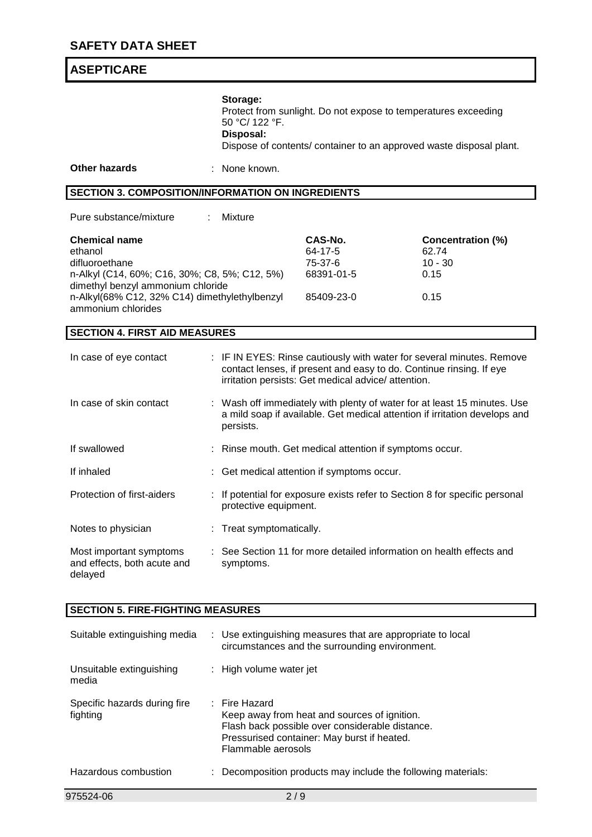|                                                                                                                                                                                                                |                                                                                   | Storage:<br>Protect from sunlight. Do not expose to temperatures exceeding<br>50 °C/ 122 °F.<br>Disposal:<br>Dispose of contents/ container to an approved waste disposal plant. |                                                                                                                                                                                                     |                                                                |  |
|----------------------------------------------------------------------------------------------------------------------------------------------------------------------------------------------------------------|-----------------------------------------------------------------------------------|----------------------------------------------------------------------------------------------------------------------------------------------------------------------------------|-----------------------------------------------------------------------------------------------------------------------------------------------------------------------------------------------------|----------------------------------------------------------------|--|
| <b>Other hazards</b>                                                                                                                                                                                           |                                                                                   | None known.                                                                                                                                                                      |                                                                                                                                                                                                     |                                                                |  |
| <b>SECTION 3. COMPOSITION/INFORMATION ON INGREDIENTS</b>                                                                                                                                                       |                                                                                   |                                                                                                                                                                                  |                                                                                                                                                                                                     |                                                                |  |
| Pure substance/mixture                                                                                                                                                                                         |                                                                                   | Mixture                                                                                                                                                                          |                                                                                                                                                                                                     |                                                                |  |
| <b>Chemical name</b><br>ethanol<br>difluoroethane<br>n-Alkyl (C14, 60%; C16, 30%; C8, 5%; C12, 5%)<br>dimethyl benzyl ammonium chloride<br>n-Alkyl(68% C12, 32% C14) dimethylethylbenzyl<br>ammonium chlorides |                                                                                   |                                                                                                                                                                                  | CAS-No.<br>64-17-5<br>75-37-6<br>68391-01-5<br>85409-23-0                                                                                                                                           | <b>Concentration (%)</b><br>62.74<br>$10 - 30$<br>0.15<br>0.15 |  |
| <b>SECTION 4. FIRST AID MEASURES</b>                                                                                                                                                                           |                                                                                   |                                                                                                                                                                                  |                                                                                                                                                                                                     |                                                                |  |
| In case of eye contact                                                                                                                                                                                         |                                                                                   |                                                                                                                                                                                  | : IF IN EYES: Rinse cautiously with water for several minutes. Remove<br>contact lenses, if present and easy to do. Continue rinsing. If eye<br>irritation persists: Get medical advice/ attention. |                                                                |  |
| In case of skin contact                                                                                                                                                                                        |                                                                                   | : Wash off immediately with plenty of water for at least 15 minutes. Use<br>a mild soap if available. Get medical attention if irritation develops and<br>persists.              |                                                                                                                                                                                                     |                                                                |  |
| If swallowed                                                                                                                                                                                                   |                                                                                   | : Rinse mouth. Get medical attention if symptoms occur.                                                                                                                          |                                                                                                                                                                                                     |                                                                |  |
| If inhaled                                                                                                                                                                                                     |                                                                                   | : Get medical attention if symptoms occur.                                                                                                                                       |                                                                                                                                                                                                     |                                                                |  |
| Protection of first-aiders                                                                                                                                                                                     |                                                                                   | : If potential for exposure exists refer to Section 8 for specific personal<br>protective equipment.                                                                             |                                                                                                                                                                                                     |                                                                |  |
| Notes to physician                                                                                                                                                                                             |                                                                                   | : Treat symptomatically.                                                                                                                                                         |                                                                                                                                                                                                     |                                                                |  |
| Most important symptoms<br>and effects, both acute and<br>delayed                                                                                                                                              | : See Section 11 for more detailed information on health effects and<br>symptoms. |                                                                                                                                                                                  |                                                                                                                                                                                                     |                                                                |  |
| <b>SECTION 5. FIRE-FIGHTING MEASURES</b>                                                                                                                                                                       |                                                                                   |                                                                                                                                                                                  |                                                                                                                                                                                                     |                                                                |  |
| Suitable extinguishing media                                                                                                                                                                                   |                                                                                   | : Use extinguishing measures that are appropriate to local<br>circumstances and the surrounding environment.                                                                     |                                                                                                                                                                                                     |                                                                |  |
| Unsuitable extinguishing<br>media                                                                                                                                                                              |                                                                                   | High volume water jet                                                                                                                                                            |                                                                                                                                                                                                     |                                                                |  |
| Specific hazards during fire<br>fighting                                                                                                                                                                       |                                                                                   | : Fire Hazard<br>Keep away from heat and sources of ignition.<br>Flash back possible over considerable distance.<br>Pressurised container: May burst if heated.                  |                                                                                                                                                                                                     |                                                                |  |

Flammable aerosols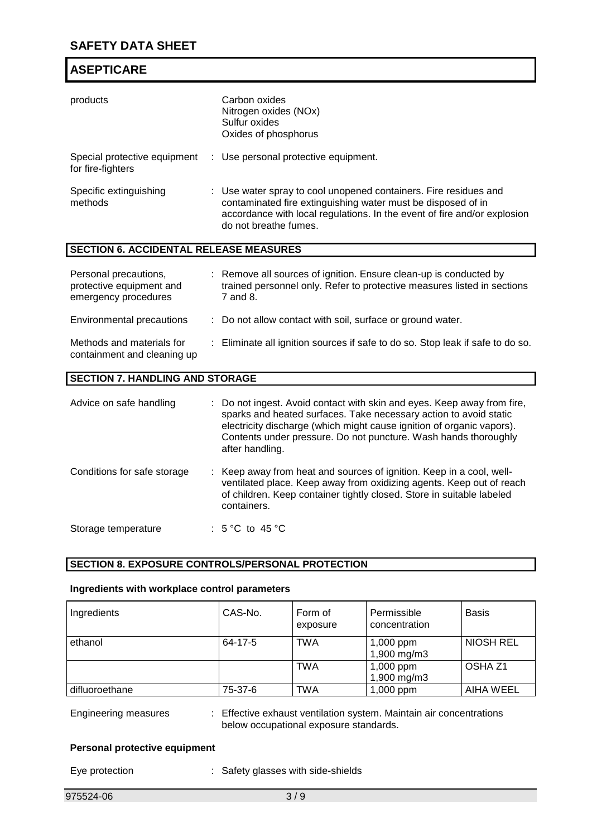| products                                                                  | Carbon oxides<br>Nitrogen oxides (NOx)<br>Sulfur oxides<br>Oxides of phosphorus                                                                                                                                                       |
|---------------------------------------------------------------------------|---------------------------------------------------------------------------------------------------------------------------------------------------------------------------------------------------------------------------------------|
| Special protective equipment<br>for fire-fighters                         | : Use personal protective equipment.                                                                                                                                                                                                  |
| Specific extinguishing<br>methods                                         | : Use water spray to cool unopened containers. Fire residues and<br>contaminated fire extinguishing water must be disposed of in<br>accordance with local regulations. In the event of fire and/or explosion<br>do not breathe fumes. |
| <b>SECTION 6. ACCIDENTAL RELEASE MEASURES</b>                             |                                                                                                                                                                                                                                       |
| Personal precautions,<br>protective equipment and<br>emergency procedures | : Remove all sources of ignition. Ensure clean-up is conducted by<br>trained personnel only. Refer to protective measures listed in sections<br>7 and 8.                                                                              |
| Environmental precautions                                                 | : Do not allow contact with soil, surface or ground water.                                                                                                                                                                            |
| Methods and materials for<br>containment and cleaning up                  | : Eliminate all ignition sources if safe to do so. Stop leak if safe to do so.                                                                                                                                                        |

## **SECTION 7. HANDLING AND STORAGE**

| Advice on safe handling     | : Do not ingest. Avoid contact with skin and eyes. Keep away from fire,<br>sparks and heated surfaces. Take necessary action to avoid static<br>electricity discharge (which might cause ignition of organic vapors).<br>Contents under pressure. Do not puncture. Wash hands thoroughly<br>after handling. |
|-----------------------------|-------------------------------------------------------------------------------------------------------------------------------------------------------------------------------------------------------------------------------------------------------------------------------------------------------------|
| Conditions for safe storage | : Keep away from heat and sources of ignition. Keep in a cool, well-<br>ventilated place. Keep away from oxidizing agents. Keep out of reach<br>of children. Keep container tightly closed. Store in suitable labeled<br>containers.                                                                        |
| Storage temperature         | : 5 °C to 45 °C                                                                                                                                                                                                                                                                                             |

## **SECTION 8. EXPOSURE CONTROLS/PERSONAL PROTECTION**

## **Ingredients with workplace control parameters**

| Ingredients                 | CAS-No. | Form of<br>exposure | Permissible<br>concentration                                      | <b>Basis</b>       |
|-----------------------------|---------|---------------------|-------------------------------------------------------------------|--------------------|
| ethanol                     | 64-17-5 | <b>TWA</b>          | 1,000 ppm<br>1,900 mg/m3                                          | <b>NIOSH REL</b>   |
|                             |         | <b>TWA</b>          | 1,000 ppm<br>1,900 mg/m3                                          | OSHA <sub>Z1</sub> |
| l difluoroethane            | 75-37-6 | <b>TWA</b>          | $1,000$ ppm                                                       | AIHA WEEL          |
| <b>Engineering measures</b> |         |                     | Effective exhaust ventilation system. Maintain air concentrations |                    |

below occupational exposure standards.

## **Personal protective equipment**

Eye protection : Safety glasses with side-shields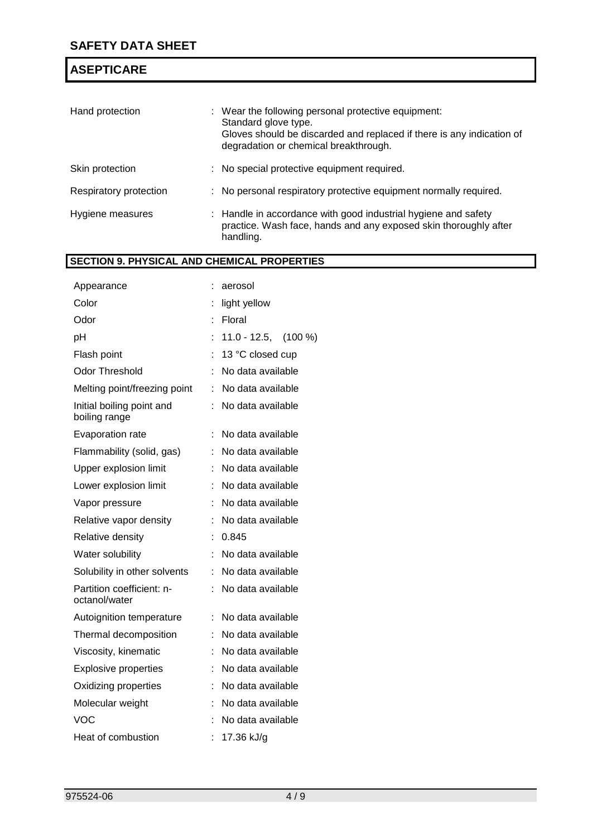| Hand protection        | : Wear the following personal protective equipment:<br>Standard glove type.<br>Gloves should be discarded and replaced if there is any indication of<br>degradation or chemical breakthrough. |
|------------------------|-----------------------------------------------------------------------------------------------------------------------------------------------------------------------------------------------|
| Skin protection        | : No special protective equipment required.                                                                                                                                                   |
| Respiratory protection | : No personal respiratory protective equipment normally required.                                                                                                                             |
| Hygiene measures       | : Handle in accordance with good industrial hygiene and safety<br>practice. Wash face, hands and any exposed skin thoroughly after<br>handling.                                               |

# **SECTION 9. PHYSICAL AND CHEMICAL PROPERTIES**

| Appearance                                 |   | aerosol               |  |
|--------------------------------------------|---|-----------------------|--|
| Color                                      |   | light yellow          |  |
| Odor                                       |   | Floral                |  |
| pH                                         |   | $11.0 - 12.5, (100%)$ |  |
| Flash point                                |   | 13 °C closed cup      |  |
| <b>Odor Threshold</b>                      |   | No data available     |  |
| Melting point/freezing point               | t | No data available     |  |
| Initial boiling point and<br>boiling range |   | No data available     |  |
| Evaporation rate                           | İ | No data available     |  |
| Flammability (solid, gas)                  |   | No data available     |  |
| Upper explosion limit                      |   | No data available     |  |
| Lower explosion limit                      |   | No data available     |  |
| Vapor pressure                             |   | No data available     |  |
| Relative vapor density                     |   | No data available     |  |
| Relative density                           |   | 0.845                 |  |
| Water solubility                           |   | No data available     |  |
| Solubility in other solvents               | t | No data available     |  |
| Partition coefficient: n-<br>octanol/water |   | No data available     |  |
| Autoignition temperature                   |   | No data available     |  |
| Thermal decomposition                      |   | No data available     |  |
| Viscosity, kinematic                       |   | No data available     |  |
| <b>Explosive properties</b>                |   | No data available     |  |
| Oxidizing properties                       |   | No data available     |  |
| Molecular weight                           |   | No data available     |  |
| VOC                                        |   | No data available     |  |
| Heat of combustion                         |   | 17.36 kJ/g            |  |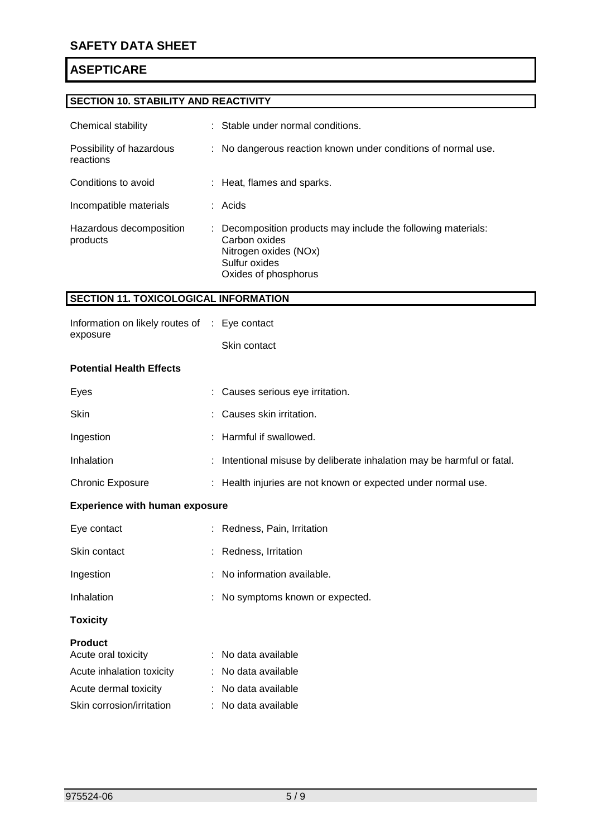# **SECTION 10. STABILITY AND REACTIVITY**

| Chemical stability                    | : Stable under normal conditions.                                                                                                                |
|---------------------------------------|--------------------------------------------------------------------------------------------------------------------------------------------------|
| Possibility of hazardous<br>reactions | : No dangerous reaction known under conditions of normal use.                                                                                    |
| Conditions to avoid                   | : Heat, flames and sparks.                                                                                                                       |
| Incompatible materials                | $:$ Acids                                                                                                                                        |
| Hazardous decomposition<br>products   | : Decomposition products may include the following materials:<br>Carbon oxides<br>Nitrogen oxides (NOx)<br>Sulfur oxides<br>Oxides of phosphorus |

## **SECTION 11. TOXICOLOGICAL INFORMATION**

| exposure                 | Skin contact |  |
|--------------------------|--------------|--|
| Dotantial Haalth Effaata |              |  |

### **Potential Health Effects**

| Eyes                    | : Causes serious eye irritation.                                       |
|-------------------------|------------------------------------------------------------------------|
| <b>Skin</b>             | : Causes skin irritation.                                              |
| Ingestion               | : Harmful if swallowed.                                                |
| Inhalation              | : Intentional misuse by deliberate inhalation may be harmful or fatal. |
| <b>Chronic Exposure</b> | : Health injuries are not known or expected under normal use.          |

## **Experience with human exposure**

| Eye contact     | : Redness, Pain, Irritation      |
|-----------------|----------------------------------|
| Skin contact    | : Redness Irritation             |
| Ingestion       | $:$ No information available.    |
| Inhalation      | : No symptoms known or expected. |
| <b>Toxicity</b> |                                  |

### **Product**

| Acute oral toxicity       | : No data available |
|---------------------------|---------------------|
| Acute inhalation toxicity | : No data available |
| Acute dermal toxicity     | : No data available |
| Skin corrosion/irritation | : No data available |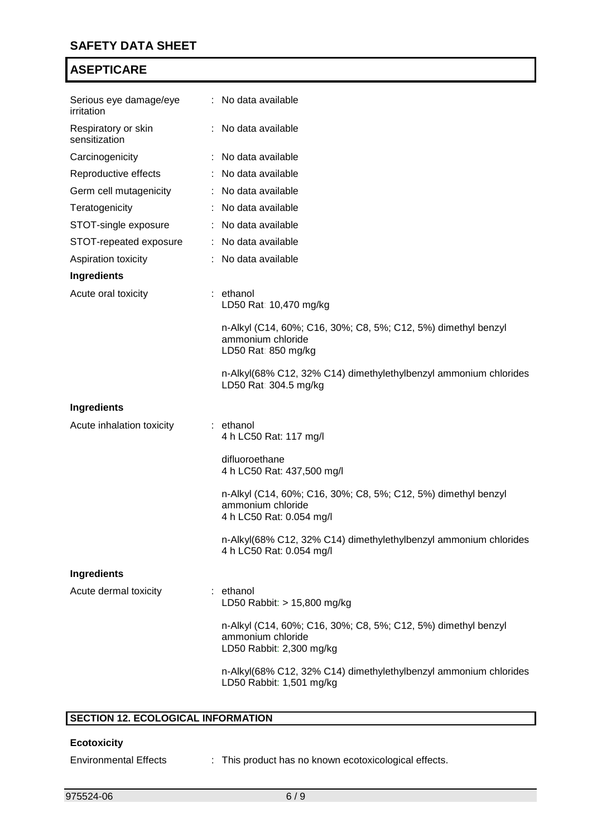| Serious eye damage/eye<br>irritation | : No data available                                                                                            |
|--------------------------------------|----------------------------------------------------------------------------------------------------------------|
| Respiratory or skin<br>sensitization | : No data available                                                                                            |
| Carcinogenicity                      | : No data available                                                                                            |
| Reproductive effects                 | : No data available                                                                                            |
| Germ cell mutagenicity               | : No data available                                                                                            |
| Teratogenicity                       | : No data available                                                                                            |
| STOT-single exposure                 | : No data available                                                                                            |
| STOT-repeated exposure               | : No data available                                                                                            |
| Aspiration toxicity                  | : No data available                                                                                            |
| Ingredients                          |                                                                                                                |
| Acute oral toxicity                  | : ethanol<br>LD50 Rat: 10,470 mg/kg                                                                            |
|                                      | n-Alkyl (C14, 60%; C16, 30%; C8, 5%; C12, 5%) dimethyl benzyl<br>ammonium chloride<br>LD50 Rat: 850 mg/kg      |
|                                      | n-Alkyl(68% C12, 32% C14) dimethylethylbenzyl ammonium chlorides<br>LD50 Rat: 304.5 mg/kg                      |
| <b>Ingredients</b>                   |                                                                                                                |
| Acute inhalation toxicity            | : ethanol<br>4 h LC50 Rat: 117 mg/l                                                                            |
|                                      | difluoroethane<br>4 h LC50 Rat: 437,500 mg/l                                                                   |
|                                      | n-Alkyl (C14, 60%; C16, 30%; C8, 5%; C12, 5%) dimethyl benzyl<br>ammonium chloride<br>4 h LC50 Rat: 0.054 mg/l |
|                                      | n-Alkyl(68% C12, 32% C14) dimethylethylbenzyl ammonium chlorides<br>4 h LC50 Rat: 0.054 mg/l                   |
| Ingredients                          |                                                                                                                |
| Acute dermal toxicity                | : ethanol<br>LD50 Rabbit: > 15,800 mg/kg                                                                       |
|                                      | n-Alkyl (C14, 60%; C16, 30%; C8, 5%; C12, 5%) dimethyl benzyl<br>ammonium chloride<br>LD50 Rabbit: 2,300 mg/kg |
|                                      | n-Alkyl(68% C12, 32% C14) dimethylethylbenzyl ammonium chlorides<br>LD50 Rabbit: 1,501 mg/kg                   |

# **SECTION 12. ECOLOGICAL INFORMATION**

## **Ecotoxicity**

Environmental Effects : This product has no known ecotoxicological effects.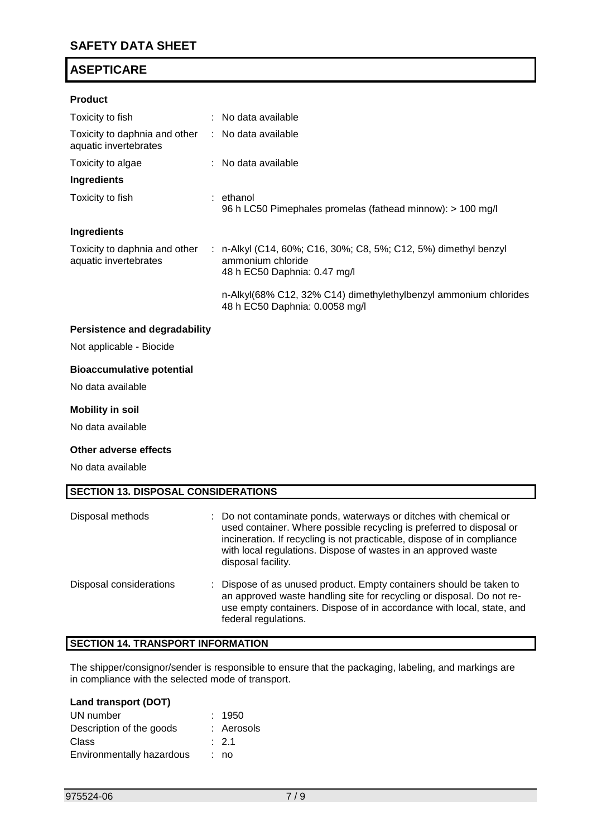## **Product**

| Toxicity to fish                                                           | : No data available                                                                                                  |
|----------------------------------------------------------------------------|----------------------------------------------------------------------------------------------------------------------|
| Toxicity to daphnia and other : No data available<br>aquatic invertebrates |                                                                                                                      |
| Toxicity to algae                                                          | : No data available                                                                                                  |
| Ingredients                                                                |                                                                                                                      |
| Toxicity to fish                                                           | : ethanol<br>96 h LC50 Pimephales promelas (fathead minnow): > 100 mg/l                                              |
| Ingredients                                                                |                                                                                                                      |
| Toxicity to daphnia and other<br>aquatic invertebrates                     | : n-Alkyl (C14, 60%; C16, 30%; C8, 5%; C12, 5%) dimethyl benzyl<br>ammonium chloride<br>48 h EC50 Daphnia: 0.47 mg/l |
|                                                                            | n-Alkyl(68% C12, 32% C14) dimethylethylbenzyl ammonium chlorides<br>48 h EC50 Daphnia: 0.0058 mg/l                   |
| <b>Persistence and degradability</b>                                       |                                                                                                                      |

Not applicable - Biocide

## **Bioaccumulative potential**

No data available

### **Mobility in soil**

No data available

### **Other adverse effects**

No data available

### **SECTION 13. DISPOSAL CONSIDERATIONS**

| Disposal methods        | : Do not contaminate ponds, waterways or ditches with chemical or<br>used container. Where possible recycling is preferred to disposal or<br>incineration. If recycling is not practicable, dispose of in compliance<br>with local regulations. Dispose of wastes in an approved waste<br>disposal facility. |
|-------------------------|--------------------------------------------------------------------------------------------------------------------------------------------------------------------------------------------------------------------------------------------------------------------------------------------------------------|
| Disposal considerations | : Dispose of as unused product. Empty containers should be taken to<br>an approved waste handling site for recycling or disposal. Do not re-<br>use empty containers. Dispose of in accordance with local, state, and<br>federal regulations.                                                                |

## **SECTION 14. TRANSPORT INFORMATION**

The shipper/consignor/sender is responsible to ensure that the packaging, labeling, and markings are in compliance with the selected mode of transport.

## **Land transport (DOT)**

| UN number                 | : 1950           |
|---------------------------|------------------|
| Description of the goods  | : Aerosols       |
| Class                     | $\therefore$ 2.1 |
| Environmentally hazardous | : no             |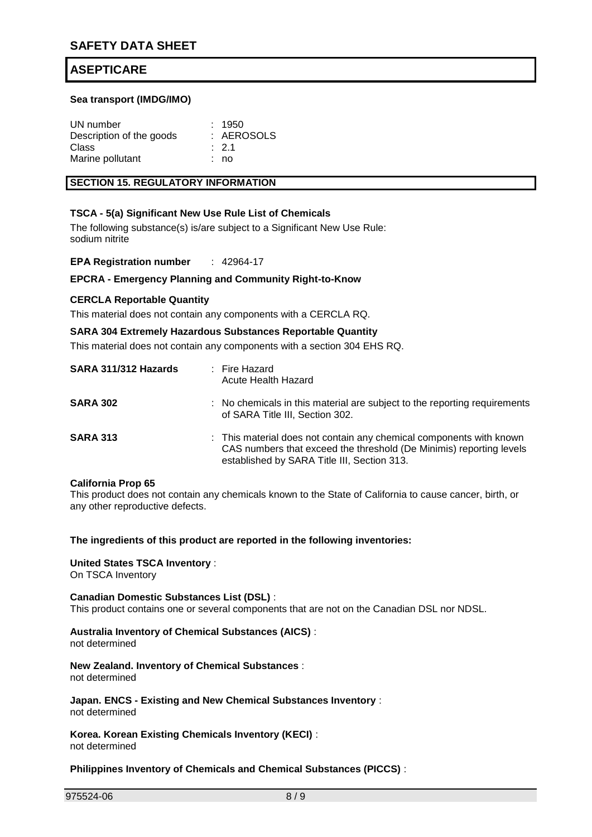### **Sea transport (IMDG/IMO)**

| UN number                | : 1950           |
|--------------------------|------------------|
| Description of the goods | : AEROSOLS       |
| Class                    | $\therefore$ 2.1 |
| Marine pollutant         | : no             |

### **SECTION 15. REGULATORY INFORMATION**

## **TSCA - 5(a) Significant New Use Rule List of Chemicals**

The following substance(s) is/are subject to a Significant New Use Rule: sodium nitrite

**EPA Registration number** : 42964-17

### **EPCRA - Emergency Planning and Community Right-to-Know**

### **CERCLA Reportable Quantity**

This material does not contain any components with a CERCLA RQ.

### **SARA 304 Extremely Hazardous Substances Reportable Quantity**

This material does not contain any components with a section 304 EHS RQ.

| SARA 311/312 Hazards | : Fire Hazard<br>Acute Health Hazard                                                                                                                                                      |
|----------------------|-------------------------------------------------------------------------------------------------------------------------------------------------------------------------------------------|
| <b>SARA 302</b>      | : No chemicals in this material are subject to the reporting requirements<br>of SARA Title III, Section 302.                                                                              |
| <b>SARA 313</b>      | : This material does not contain any chemical components with known<br>CAS numbers that exceed the threshold (De Minimis) reporting levels<br>established by SARA Title III, Section 313. |

### **California Prop 65**

This product does not contain any chemicals known to the State of California to cause cancer, birth, or any other reproductive defects.

**The ingredients of this product are reported in the following inventories:**

# **United States TSCA Inventory** :

On TSCA Inventory

### **Canadian Domestic Substances List (DSL)** : This product contains one or several components that are not on the Canadian DSL nor NDSL.

## **Australia Inventory of Chemical Substances (AICS)** :

not determined

**New Zealand. Inventory of Chemical Substances** : not determined

**Japan. ENCS - Existing and New Chemical Substances Inventory** : not determined

**Korea. Korean Existing Chemicals Inventory (KECI)** : not determined

### **Philippines Inventory of Chemicals and Chemical Substances (PICCS)** :